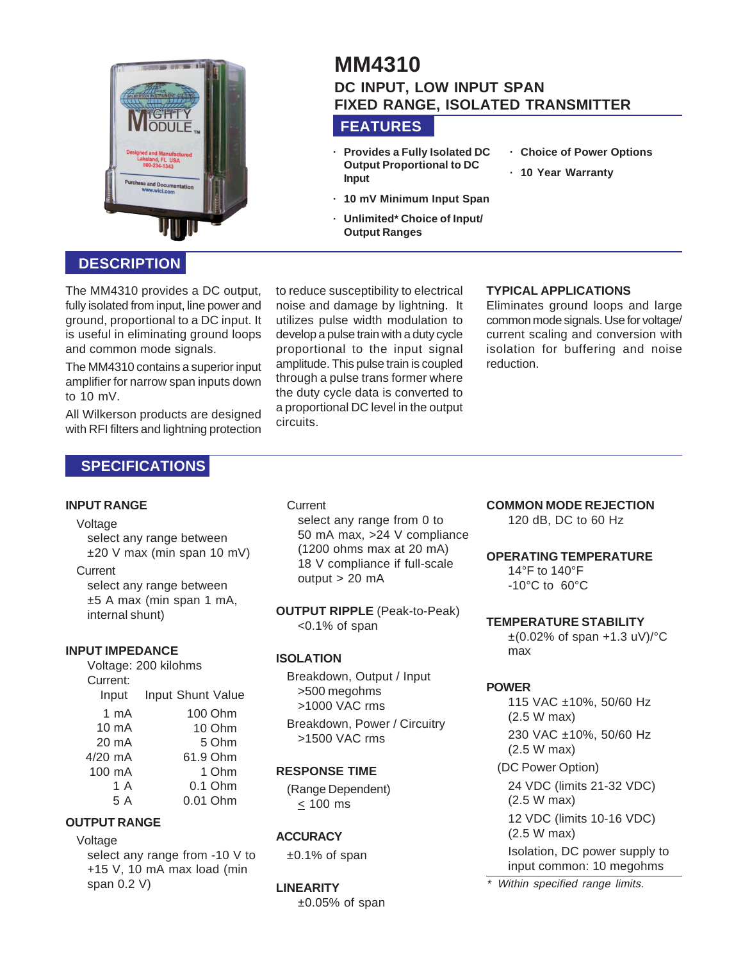

# **MM4310 DC INPUT, LOW INPUT SPAN FIXED RANGE, ISOLATED TRANSMITTER**

# **FEATURES**

- **· Provides a Fully Isolated DC Output Proportional to DC Input**
- **· Choice of Power Options**
- **· 10 Year Warranty**
- **· 10 mV Minimum Input Span**
- **· Unlimited\* Choice of Input/ Output Ranges**

## **DESCRIPTION**

The MM4310 provides a DC output, fully isolated from input, line power and ground, proportional to a DC input. It is useful in eliminating ground loops and common mode signals.

The MM4310 contains a superior input amplifier for narrow span inputs down to 10 mV.

All Wilkerson products are designed with RFI filters and lightning protection

# **SPECIFICATIONS**

#### **INPUT RANGE**

#### Voltage

select any range between ±20 V max (min span 10 mV)

#### **Current**

select any range between ±5 A max (min span 1 mA, internal shunt)

#### **INPUT IMPEDANCE**

Voltage: 200 kilohms Current: Input Input Shunt Value 1 mA 10 mA 20 mA 4/20 mA 100 mA 1 A 5 A 100 Ohm 10 Ohm 5 Ohm 61.9 Ohm 1 Ohm 0.1 Ohm 0.01 Ohm

#### **OUTPUT RANGE**

#### Voltage

select any range from -10 V to +15 V, 10 mA max load (min span 0.2 V)

to reduce susceptibility to electrical noise and damage by lightning. It utilizes pulse width modulation to develop a pulse train with a duty cycle proportional to the input signal amplitude. This pulse train is coupled through a pulse trans former where the duty cycle data is converted to a proportional DC level in the output circuits.

#### **TYPICAL APPLICATIONS**

Eliminates ground loops and large common mode signals. Use for voltage/ current scaling and conversion with isolation for buffering and noise reduction.

#### **Current**

select any range from 0 to 50 mA max, >24 V compliance (1200 ohms max at 20 mA) 18 V compliance if full-scale output > 20 mA

**OUTPUT RIPPLE** (Peak-to-Peak) <0.1% of span

### **ISOLATION**

Breakdown, Output / Input >500 megohms >1000 VAC rms

Breakdown, Power / Circuitry >1500 VAC rms

### **RESPONSE TIME**

(Range Dependent) < 100 ms

#### **ACCURACY**

±0.1% of span

#### **LINEARITY**

 $±0.05%$  of span

#### **COMMON MODE REJECTION**

120 dB, DC to 60 Hz

#### **OPERATING TEMPERATURE**

14°F to 140°F -10°C to 60°C

#### **TEMPERATURE STABILITY**

 $\pm$ (0.02% of span +1.3 uV)/ $\degree$ C max

#### **POWER**

115 VAC ±10%, 50/60 Hz (2.5 W max) 230 VAC ±10%, 50/60 Hz (2.5 W max) (DC Power Option)

24 VDC (limits 21-32 VDC) (2.5 W max) 12 VDC (limits 10-16 VDC) (2.5 W max) Isolation, DC power supply to input common: 10 megohms

\* Within specified range limits.